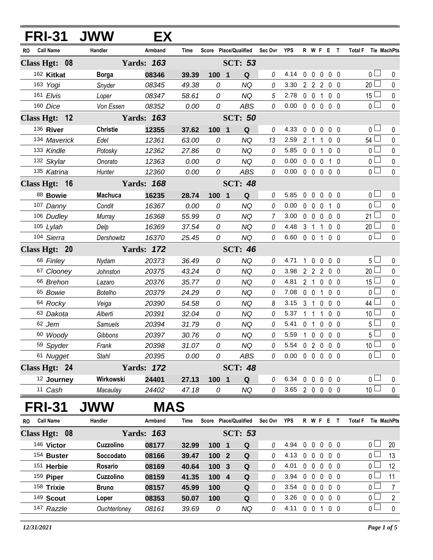|     | <b>FRI-31</b>         | <b>JWW</b>      | EХ                |       |                  |                       |                |                |             |                     |                |                   |                |                 |                |
|-----|-----------------------|-----------------|-------------------|-------|------------------|-----------------------|----------------|----------------|-------------|---------------------|----------------|-------------------|----------------|-----------------|----------------|
| RO  | <b>Call Name</b>      | Handler         | Armband           | Time  |                  | Score Place/Qualified | Sec Ovr YPS    |                |             | R W F E T           |                |                   |                | <b>Total F</b>  | Tie MachPts    |
|     | Class Hgt: 08         |                 | <b>Yards: 163</b> |       |                  | <b>SCT: 53</b>        |                |                |             |                     |                |                   |                |                 |                |
|     | 162 Kitkat            | <b>Borga</b>    | 08346             | 39.39 | $100 \quad 1$    | Q                     | 0              | 4.14           |             | $0\quad 0$          |                | $0\quad 0\quad 0$ |                | 0 <sup>1</sup>  | 0              |
|     | 163 Yogi              | Snyder          | 08345             | 49.38 | 0                | <b>NQ</b>             | 0              | 3.30           |             | 2 2 2 0 0           |                |                   |                | $20$ $\Box$     | 0              |
|     | 161 Elvis             | Loper           | 08347             | 58.61 | 0                | <b>NQ</b>             | $\overline{5}$ | 2.78           |             | $0\quad 0$          | $\overline{1}$ | 0 <sub>0</sub>    |                | 15 <sup>L</sup> | 0              |
|     | 160 Dice              | Von Essen       | 08352             | 0.00  | 0                | <b>ABS</b>            | 0              | 0.00           |             | 00000               |                |                   |                | 0 <sub>1</sub>  | 0              |
|     | Class Hgt: 12         |                 | <b>Yards: 163</b> |       |                  | <b>SCT: 50</b>        |                |                |             |                     |                |                   |                |                 |                |
|     | 136 River             | <b>Christie</b> | 12355             | 37.62 | $100$ 1          | $\mathbf Q$           | $\theta$       | 4.33           | $\mathbf 0$ | $\overline{0}$      | $\mathbf 0$    | $0\quad 0$        |                | 0 l             | 0              |
|     | 134 Maverick          | Edel            | 12361             | 63.00 | 0                | <b>NQ</b>             | 13             | 2.59           |             | 2 <sub>1</sub>      | -1             | 0 <sub>0</sub>    |                | 54 L            | 0              |
|     | 133 Kindle            | Potosky         | 12362             | 27.86 | 0                | <b>NQ</b>             | $\Omega$       | 5.85           |             | $0\quad 0$          | $\mathbf{1}$   | 0 <sub>0</sub>    |                | 0 l             | 0              |
|     | 132 Skylar            | Onorato         | 12363             | 0.00  | 0                | <b>NQ</b>             | 0              | 0.00           |             | $0\quad 0\quad 0$   |                |                   | 1 0            | 0 <sub>0</sub>  | 0              |
|     | 135 Katrina           | Hunter          | 12360             | 0.00  | 0                | <b>ABS</b>            | $\theta$       | 0.00           |             | $0\quad 0\quad 0$   |                | $0\quad 0$        |                | 0 l             | $\Omega$       |
|     | Class Hgt: 16         |                 | <b>Yards: 168</b> |       |                  | <b>SCT: 48</b>        |                |                |             |                     |                |                   |                |                 |                |
|     | 88 Bowie              | <b>Machuca</b>  | 16235             | 28.74 | 100 1            | Q                     | $\theta$       | 5.85           | $\mathbf 0$ | $\mathbf 0$         | $\mathbf 0$    | 0 <sub>0</sub>    |                | 0 <sub>1</sub>  | 0              |
|     | 107 Danny             | Condit          | 16367             | 0.00  | 0                | <b>NQ</b>             | $\theta$       | 0.00           |             | $0\quad 0$          | $\mathbf 0$    |                   | $1\quad0$      | 0 <sup>1</sup>  | 0              |
|     | 106 Dudley            | Murray          | 16368             | 55.99 | 0                | <b>NQ</b>             | $\overline{7}$ | 3.00           |             | $0\quad 0\quad 0$   |                | 0 <sub>0</sub>    |                | 21 $\Box$       | 0              |
|     | $105$ Lylah           | Delp            | 16369             | 37.54 | 0                | <b>NQ</b>             | $\theta$       | 4.48           |             | $3 \quad 1$         | $\mathbf{1}$   |                   | 0 <sub>0</sub> | 20 <sup>1</sup> | 0              |
|     | 104 Sierra            | Dershowitz      | 16370             | 25.45 | 0                | <b>NQ</b>             | $\mathcal O$   | 6.60           |             | $0 \t0 \t1$         |                | $0\quad 0$        |                | $\overline{0}$  | $\mathbf 0$    |
|     | Class Hgt: 20         |                 | <b>Yards: 172</b> |       |                  | <b>SCT: 46</b>        |                |                |             |                     |                |                   |                |                 |                |
|     | 68 Finley             | Nydam           | 20373             | 36.49 | 0                | <b>NQ</b>             | 0              | 4.71           |             | $\mathbf 0$         | $\mathbf 0$    | $0\quad 0$        |                | 5 <sub>1</sub>  | 0              |
|     | 67 Clooney            | Johnston        | 20375             | 43.24 | 0                | <b>NQ</b>             | 0              | 3.98           |             | $2 \quad 2 \quad 2$ |                | $0\quad 0$        |                | $20$ $\Box$     | 0              |
|     | 66 Brehon             | Lazaro          | 20376             | 35.77 | 0                | <b>NQ</b>             | 0              | 4.81           |             | 2 <sub>1</sub>      | $\mathbf 0$    |                   | $0\quad 0$     | $15\perp$       | 0              |
|     | 65 Bowie              | <b>Botelho</b>  | 20379             | 24.29 | 0                | NQ                    | 0              | 7.08           |             | $0\quad 0$          | $\mathbf 1$    | 0 <sub>0</sub>    |                | 0 <sup>1</sup>  | $\mathbf 0$    |
|     | 64 Rocky              | Veiga           | 20390             | 54.58 | 0                | <b>NQ</b>             | 8              | 3.15           |             | 3 <sub>1</sub>      | $\mathbf 0$    | 0 <sub>0</sub>    |                | 44              | 0              |
|     | 63 Dakota             | Alberti         | 20391             | 32.04 | 0                | <b>NQ</b>             | 0              | 5.37           |             | $1\quad1$           | -1             | 0                 | - 0            | 10 <sup>1</sup> | $\pmb{0}$      |
|     | 62 Jem                | <b>Samuels</b>  | 20394             | 31.79 | 0                | <b>NQ</b>             | 0              | 5.41           |             | 0 <sub>1</sub>      | $\mathbf 0$    | $\mathbf{0}$      | $\overline{0}$ | 5 <sup>1</sup>  | 0              |
|     | 60 Woody              | Gibbons         | 20397             | 30.76 | ${\cal O}$       | <b>NQ</b>             | 0              | 5.59           |             | $100$               |                | 0 <sub>0</sub>    |                | $5\Box$         | $\mathbf 0$    |
|     | 59 Spyder             | Frank           | 20398             | 31.07 | 0                | <b>NQ</b>             | 0              | 5.54 0 2 0 0 0 |             |                     |                |                   |                | 10 <sup>1</sup> | 0              |
|     | 61 Nugget             | <b>Stahl</b>    | 20395             | 0.00  | 0                | ABS                   | 0              | 0.00           |             | 00000               |                |                   |                | $_0$ $\Box$     | $\mathbf 0$    |
|     | Class Hgt: 24         |                 | <b>Yards: 172</b> |       |                  | <b>SCT: 48</b>        |                |                |             |                     |                |                   |                |                 |                |
|     | <sup>12</sup> Journey | Wirkowski       | 24401             | 27.13 | 100 1            | $\mathbf Q$           | 0              | 6.34           |             | $0\quad 0$          | $\overline{0}$ | $0\quad 0$        |                | 0 <sub>1</sub>  | 0              |
|     | 11 Cash               | Macaulay        | 24402             | 47.18 | 0                | <b>NQ</b>             | 0              | 3.65 2 0 0 0 0 |             |                     |                |                   |                | 10 <sup>1</sup> | $\mathbf 0$    |
|     | <b>FRI-31</b>         | JWW             | <b>MAS</b>        |       |                  |                       |                |                |             |                     |                |                   |                |                 |                |
| RO. | <b>Call Name</b>      | Handler         | Armband           | Time  |                  | Score Place/Qualified | Sec Ovr YPS    |                |             | R W F E T           |                |                   |                | <b>Total F</b>  | Tie MachPts    |
|     | Class Hgt: 08         |                 | <b>Yards: 163</b> |       |                  | <b>SCT: 53</b>        |                |                |             |                     |                |                   |                |                 |                |
|     | 146 Victor            | Cuzzolino       | 08177             | 32.99 | 1001             | Q                     | 0              | 4.94           | $\mathbf 0$ | $\mathbf 0$         |                | $0\quad 0\quad 0$ |                | 0 <sub>1</sub>  | 20             |
|     | 154 Buster            | Soccodato       | 08166             | 39.47 | 100 <sub>2</sub> | $\mathbf Q$           | 0              | 4.13           |             | $0\quad 0$          | $\mathbf 0$    | $0\quad 0$        |                | 0 <sub>0</sub>  | 13             |
|     | 151 Herbie            | Rosario         | 08169             | 40.64 | 100 3            | $\mathbf Q$           | 0              | 4.01           |             | $0\quad 0\quad 0$   |                | $0\quad 0$        |                | 0 <sub>0</sub>  | 12             |
|     | 159 Piper             | Cuzzolino       | 08159             | 41.35 | 100 4            | $\mathbf Q$           | 0              | 3.94           |             | $0\quad 0$          | $\mathbf 0$    | $0\quad 0$        |                | 0 L             | 11             |
|     | 158 Trixie            | <b>Bruno</b>    | 08157             | 45.99 | 100              | Q                     | 0              | 3.54           | $\mathbf 0$ | $\mathbf 0$         | $\mathbf 0$    | $0\quad 0$        |                | $_0$ $\Box$     | $\overline{7}$ |
|     | 149 Scout             | Loper           | 08353             | 50.07 | 100              | $\mathbf Q$           | 0              | 3.26           |             | $0\quad 0$          | $\mathbf 0$    | $0\quad 0$        |                | 0 L             | $\overline{2}$ |
|     | 147 Razzle            | Ouchterloney    | 08161             | 39.69 | 0                | <b>NQ</b>             | 0              | 4.11 0 0 1 0 0 |             |                     |                |                   |                | 0 <sup>1</sup>  | $\mathbf 0$    |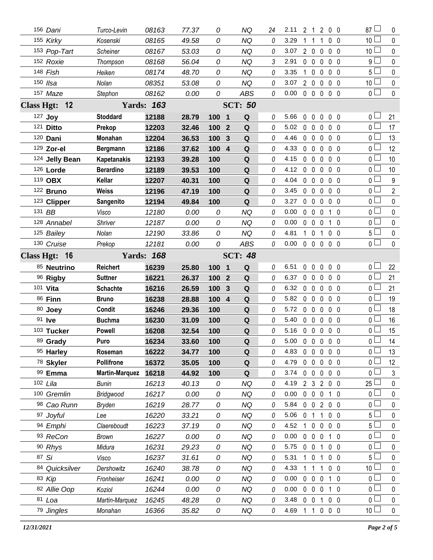|                   | 156 Dani             | Turco-Levin               | 08163             | 77.37          | 0             | NQ                  | 24       | 2.11           | 2 1            | $\mathbf{2}$                 | $0\quad 0$                   |   | $87 \Box$                         | 0                      |
|-------------------|----------------------|---------------------------|-------------------|----------------|---------------|---------------------|----------|----------------|----------------|------------------------------|------------------------------|---|-----------------------------------|------------------------|
|                   | 155 Kirky            | Kosenski                  | 08165             | 49.58          | 0             | <b>NQ</b>           | 0        | 3.29           | 1              | $\overline{1}$<br>1          | 0 <sub>0</sub>               |   | 10 L                              | $\mathbf{0}$           |
|                   | 153 Pop-Tart         | Scheiner                  | 08167             | 53.03          | 0             | NQ                  | 0        | 3.07           | $2\quad0$      | $\overline{0}$               | $0\quad 0$                   |   | 10 <sup>L</sup>                   | 0                      |
|                   | 152 Roxie            | Thompson                  | 08168             | 56.04          | 0             | <b>NQ</b>           | 3        | 2.91           | $0\quad 0$     | $\mathbf 0$                  | 0 <sub>0</sub>               |   | 9 L                               | 0                      |
|                   | 148 Fish             | Heiken                    | 08174             | 48.70          | 0             | <b>NQ</b>           | 0        | 3.35           | $1\quad0$      | 0                            | 0 <sub>0</sub>               |   | 5 <sup>1</sup>                    | $\mathbf{0}$           |
|                   | 150 Ilsa             | Nolan                     | 08351             | 53.08          | 0             | <b>NQ</b>           | 0        | 3.07           | $2\quad0$      | $\mathbf 0$                  | 0 <sub>0</sub>               |   | 10 <sup>1</sup>                   | 0                      |
|                   | 157 Maze             | Stephon                   | 08162             | 0.00           | 0             | ABS                 | 0        | 0.00           | $0\quad 0$     | $\mathbf 0$                  | 0 <sub>0</sub>               |   | 0 l                               | 0                      |
| <b>Class Hgt:</b> | $-12$                |                           | <b>Yards: 163</b> |                |               | <b>SCT: 50</b>      |          |                |                |                              |                              |   |                                   |                        |
|                   | 127 Joy              | <b>Stoddard</b>           | 12188             | 28.79          | 100 1         | Q                   | 0        | 5.66           | $\mathbf{0}$   | $\mathbf 0$<br>$\mathbf 0$   | 0 <sub>0</sub>               |   | 0 I                               | 21                     |
|                   | 121 Ditto            | Prekop                    | 12203             | 32.46          | 100           | Q<br>$\overline{2}$ | 0        | 5.02           | $0\quad 0$     | 0                            | 0 <sub>0</sub>               |   | 0 l                               | 17                     |
|                   | 120 Dani             | Monahan                   | 12204             | 36.53          | 100           | Q<br>$\mathbf{3}$   | $\Omega$ | 4.46           | $0\quad 0$     | $\mathbf 0$                  | 0 <sub>0</sub>               |   | ΟL                                | 13                     |
|                   | 129 Zor-el           | Bergmann                  | 12186             | 37.62          | 100 4         | ${\bf Q}$           | 0        | 4.33           | 0 <sub>0</sub> | $\mathbf{0}$                 | 0 <sub>0</sub>               |   | $0-$                              | 12                     |
|                   | 124 Jelly Bean       | <b>Kapetanakis</b>        | 12193             | 39.28          | 100           | Q                   | $\theta$ | 4.15           | $\mathbf{0}$   | $\mathbf 0$<br>$\mathbf{0}$  | 0 <sub>0</sub>               |   | 0 L                               | 10                     |
|                   | 126 Lorde            | <b>Berardino</b>          | 12189             | 39.53          | 100           | $\mathbf Q$         | 0        | 4.12           | $0\quad 0$     | $\mathbf 0$                  | $0\quad 0$                   |   | 0 l                               | 10                     |
|                   | 119 OBX              | Kellar                    | 12207             | 40.31          | 100           | Q                   | $\theta$ | 4.04           | $\mathbf{0}$   | $\mathbf 0$<br>$\mathbf 0$   | 0 <sub>0</sub>               |   | 0 l                               | 9                      |
|                   | 122 Bruno            | <b>Weiss</b>              | 12196             | 47.19          | 100           | ${\bf Q}$           | 0        | 3.45           | $0\quad 0$     | $\mathbf 0$                  | 0 <sub>0</sub>               |   | $0-$                              | $\overline{2}$         |
|                   | 123 Clipper          | Sangenito                 | 12194             | 49.84          | 100           | Q                   | 0        | 3.27           | $\mathbf 0$    | $\mathbf 0$<br>$\mathbf 0$   | 0 <sub>0</sub>               |   | $0-$                              | 0                      |
|                   | 131 BB               | Visco                     | 12180             | 0.00           | 0             | <b>NQ</b>           | 0        | 0.00           | $0\quad 0$     | $\overline{0}$               | 1 0                          |   | 0 <sub>1</sub>                    | 0                      |
|                   | 128 Annabel          | <b>Shriver</b>            | 12187             | 0.00           | 0             | <b>NQ</b>           | 0        | 0.00           | $0\quad 0$     | $\mathbf 0$                  | $1\quad0$                    |   | 0 L                               | 0                      |
|                   | 125 Bailey           | Nolan                     | 12190             | 33.86          | 0             | <b>NQ</b>           | 0        | 4.81           | $1\quad0$      | 1                            | 0 <sub>0</sub>               |   | 5 L                               | 0                      |
|                   | 130 Cruise           | Prekop                    | 12181             | 0.00           | 0             | <b>ABS</b>          | 0        | 0.00           | $0\quad 0$     | $\overline{0}$               | 0 <sub>0</sub>               |   | 0 <sub>1</sub>                    | $\mathbf{0}$           |
|                   | Class Hgt: 16        |                           | <b>Yards: 168</b> |                |               | <b>SCT: 48</b>      |          |                |                |                              |                              |   |                                   |                        |
|                   | 85 Neutrino          | <b>Reichert</b>           | 16239             | 25.80          | 100 1         | Q                   | 0        | 6.51           | 0              | $\mathbf{0}$<br>0            | 0 <sub>0</sub>               |   | $0-$                              | 22                     |
|                   |                      |                           |                   |                |               |                     |          |                |                |                              |                              |   |                                   |                        |
|                   | 96 Rigby             | <b>Suttner</b>            | 16221             | 26.37          | 100           | Q<br>$\overline{2}$ | 0        | 6.37           | $0\quad 0$     | 0                            | 0 <sub>0</sub>               |   | 0 <sub>0</sub>                    | 21                     |
|                   | 101 Vita             | <b>Schachte</b>           | 16216             | 26.59          | 100           | ${\bf Q}$<br>3      | 0        | 6.32           | $0\quad 0$     | $\mathbf 0$                  | $0\quad 0$                   |   | 0 <sub>0</sub>                    | 21                     |
|                   | 86 Finn              | <b>Bruno</b>              | 16238             | 28.88          | $100 \quad 4$ | Q                   | 0        | 5.82           | $0\quad 0$     | $\mathbf 0$                  | $\mathbf 0$                  | 0 | 0 l                               | 19                     |
|                   | 80 Joey              | Condit                    | 16246             | 29.36          | 100           | Q                   | 0        | 5.72           | $0\quad 0$     | $\mathbf 0$                  | 0 <sub>0</sub>               |   | $0-$                              | 18                     |
|                   | 91 <b>Ive</b>        | <b>Buchma</b>             | 16230             | 31.09          | 100           | ${\bf Q}$           | 0        | 5.40           | $0\quad 0$     | $\mathbf 0$                  | 0 <sub>0</sub>               |   | 0 l                               | 16                     |
|                   | 103 Tucker           | <b>Powell</b>             | 16208             | 32.54          | 100           | ${\bf Q}$           | 0        | 5.16           | $0\quad 0$     | $\overline{0}$               | 0 <sub>0</sub>               |   | 0 l                               | 15                     |
|                   | 89 Grady             | Puro                      | 16234             | 33.60          | 100           | $\mathbf Q$         | 0        | 5.00 0 0 0 0 0 |                |                              |                              |   | 0 <sub>l</sub>                    | 14                     |
|                   | 95 Harley            | Roseman                   | 16222             | 34.77          | 100           | Q                   | 0        | 4.83           | $0\quad 0$     | $\mathbf 0$                  | $0\quad 0$                   |   | ΟL                                | 13                     |
|                   | 78 Skyler            | <b>Pollifrone</b>         | 16372             | 35.05          | 100           | $\mathbf Q$         | 0        | 4.79           | $0\quad 0$     | $\mathbf 0$                  | $0\quad 0$                   |   | 0 <sup>1</sup>                    | 12                     |
|                   | 99 Emma              | <b>Martin-Marquez</b>     | 16218             | 44.92          | 100           | Q                   | 0        | 3.74           | $0\quad 0$     | $\overline{0}$               | 0 <sub>0</sub>               |   | 0 l                               | 3                      |
|                   | 102 Lila             | <b>Bunin</b>              | 16213             | 40.13          | 0             | <b>NQ</b>           | 0        | 4.19           | 2 <sub>3</sub> | $\overline{2}$               | 0 <sub>0</sub>               |   | 25 <sup>1</sup>                   | 0                      |
|                   | 100 Gremlin          | Bridgwood                 | 16217             | 0.00           | 0             | <b>NQ</b>           | 0        | 0.00           | $0\quad 0$     | $\overline{0}$               | 1 0                          |   | 0 <sup>1</sup>                    | 0                      |
|                   | 98 Cao Runn          | <b>Bryden</b>             | 16219             | 28.77          | 0             | <b>NQ</b>           | 0        | 5.84           | $0\quad 0$     | $\overline{2}$               | 0 <sub>0</sub>               |   | 0 l                               | 0                      |
|                   | 97 Joyful            | Lee                       | 16220             | 33.21          | 0             | <b>NQ</b>           | 0        | 5.06           | 0              | $\mathbf{1}$<br>$\mathbf{1}$ | 0 <sub>0</sub>               |   | 5 <sub>1</sub>                    | 0                      |
|                   | 94 Emphi             | Claereboudt               | 16223             | 37.19          | 0             | <b>NQ</b>           | 0        | 4.52           | $\mathbf{1}$   | $\mathbf 0$<br>0             | $0\quad 0$                   |   | 5 L                               | 0                      |
|                   | 93 ReCon             | <b>Brown</b>              | 16227             | 0.00           | 0             | NQ                  | 0        | 0.00           | $0\quad 0$     | $\overline{0}$               | 1 0                          |   | 0 <sub>0</sub>                    | 0                      |
|                   | 90 Rhys              | Midura                    | 16231             | 29.23          | 0             | <b>NQ</b>           | 0        | 5.75           | $0\quad 0$     | 1                            | 0 <sub>0</sub>               |   | 0 l                               | 0                      |
|                   | 87 Si                | Visco                     | 16237             | 31.61          | 0             | <b>NQ</b>           | 0        | 5.31           | 1.             | $\overline{0}$<br>1          | 0 <sub>0</sub>               |   | $5+$                              | 0                      |
|                   | 84 Quicksilver       | Dershowitz                | 16240             | 38.78          | 0             | <b>NQ</b>           | 0        | 4.33           |                | 1<br>1                       | $0\quad 0$                   |   | 10 <sup>2</sup>                   | 0                      |
|                   | 83 Kip               | Fronheiser                | 16241             | 0.00           | 0             | <b>NQ</b>           | 0        | 0.00           | $0\quad 0$     | $\mathbf 0$                  | 1 0                          |   | 0 <sup>1</sup>                    | 0                      |
|                   | 82 Allie Oop         | Koziol                    | 16244             | 0.00           | 0             | <b>NQ</b>           | 0        | 0.00           | $0\quad 0$     | $\mathbf 0$                  | 1 <sub>0</sub>               |   | 0 l                               | 0                      |
|                   | 81 Loa<br>79 Jingles | Martin-Marquez<br>Monahan | 16245<br>16366    | 48.28<br>35.82 | 0<br>0        | <b>NQ</b><br>NQ     | 0<br>0   | 3.48<br>4.69   | $0\quad 0$     | $\mathbf 1$<br>$1 1 0$       | 0 <sub>0</sub><br>$0\quad 0$ |   | 0 <sub>0</sub><br>10 <sup>1</sup> | $\pmb{0}$<br>$\pmb{0}$ |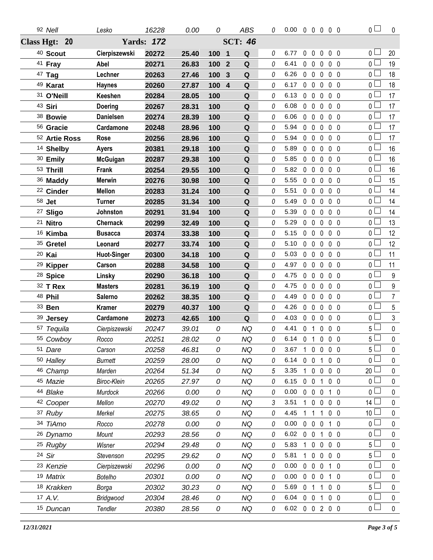| 92 Nell              | Lesko              | 16228             | 0.00  | 0                              | <b>ABS</b>                             | 0 | $0.00 \t0 \t0 \t0 \t0 \t0$ |                |              |              |                | $\overline{0}$                   | $\mathbf 0$      |
|----------------------|--------------------|-------------------|-------|--------------------------------|----------------------------------------|---|----------------------------|----------------|--------------|--------------|----------------|----------------------------------|------------------|
| Class Hgt: 20        |                    | <b>Yards: 172</b> |       |                                | <b>SCT: 46</b>                         |   |                            |                |              |              |                |                                  |                  |
| <sup>40</sup> Scout  | Cierpiszewski      | 20272             | 25.40 | 100<br>$\overline{\mathbf{1}}$ | Q                                      | 0 | 6.77                       | $0\quad 0$     |              | $\mathbf 0$  | 0 <sub>0</sub> | $\overline{0}$                   | 20               |
| <sup>41</sup> Fray   | Abel               | 20271             | 26.83 | 100                            | $\overline{2}$<br>${\bf Q}$            | 0 | 6.41                       | $0\quad 0$     |              | $\mathbf{0}$ | 0 <sub>0</sub> | $\overline{0}$                   | 19               |
| 47 Tag               | Lechner            | 20263             | 27.46 | 100                            | $\mathbf Q$<br>$\overline{\mathbf{3}}$ | 0 | 6.26                       | $0\quad 0$     |              | $\mathbf 0$  | $0\quad 0$     | $\overline{0}$                   | 18               |
| 49 Karat             | <b>Haynes</b>      | 20260             | 27.87 | 100                            | $\overline{4}$<br>Q                    | 0 | 6.17                       |                | $0\quad 0$   | $\mathbf 0$  | 0 <sub>0</sub> | $\overline{0}$                   | 18               |
| 31 O'Neill           | Keeshen            | 20284             | 28.05 | 100                            | $\mathbf Q$                            | 0 | 6.13                       |                | $0\quad 0$   | $\mathbf 0$  | $0\quad 0$     | $\overline{0}$                   | 17               |
| 43 Siri              | Doering            | 20267             | 28.31 | 100                            | Q                                      | 0 | 6.08                       | $0\quad 0$     |              | $\mathbf 0$  | $0\quad 0$     | $\overline{0}$                   | 17               |
| 38 Bowie             | <b>Danielsen</b>   | 20274             | 28.39 | 100                            | $\mathbf Q$                            | 0 | 6.06                       | $0\quad 0$     |              | $\mathbf 0$  | $0\quad 0$     | $_0$ $\Box$                      | 17               |
| 56 Gracie            | Cardamone          | 20248             | 28.96 | 100                            | Q                                      | 0 | 5.94                       |                | $0\quad 0$   | $\mathbf 0$  | $0\quad 0$     | $\overline{0}$                   | 17               |
| 52 Artie Ross        | Rose               | 20256             | 28.96 | 100                            | $\mathbf Q$                            | 0 | 5.94                       |                | $0\quad 0$   | $\mathbf 0$  | $0\quad 0$     | $\overline{0}$                   | 17               |
| 14 Shelby            | <b>Ayers</b>       | 20381             | 29.18 | 100                            | Q                                      | 0 | 5.89                       | $0\quad 0$     |              | $\mathbf{0}$ | $0\quad 0$     | $\overline{0}$                   | 16               |
| 30 Emily             | <b>McGuigan</b>    | 20287             | 29.38 | 100                            | $\mathbf Q$                            | 0 | 5.85                       |                | $0\quad 0$   | $\mathbf 0$  | $0\quad 0$     | $0-$                             | 16               |
| 53 Thrill            | Frank              | 20254             | 29.55 | 100                            | $\mathbf Q$                            | 0 | 5.82                       | $0\quad 0$     |              | $\mathbf 0$  | 0 <sub>0</sub> | $\overline{0}$                   | 16               |
| 36 Maddy             | Merwin             | 20276             | 30.98 | 100                            | $\mathbf Q$                            | 0 | 5.55                       | $0\quad 0$     |              | $\mathbf 0$  | 0 <sub>0</sub> | $\overline{0}$                   | 15               |
| <sup>22</sup> Cinder | <b>Mellon</b>      | 20283             | 31.24 | 100                            | Q                                      | 0 | 5.51                       | $0\quad 0$     |              | 0            | 0 <sub>0</sub> | $\overline{0}$                   | 14               |
| 58 Jet               | <b>Turner</b>      | 20285             | 31.34 | 100                            | Q                                      | 0 | 5.49                       | $0\quad 0$     |              | $\mathbf 0$  | $0\quad 0$     | $\overline{0}$                   | 14               |
| <sup>27</sup> Sligo  | Johnston           | 20291             | 31.94 | 100                            | Q                                      | 0 | 5.39                       | $0\quad 0$     |              | $\mathbf 0$  | 0 <sub>0</sub> | $\overline{0}$                   | 14               |
| 21 Nitro             | <b>Chernack</b>    | 20299             | 32.49 | 100                            | $\mathbf Q$                            | 0 | 5.29                       | 0 <sub>0</sub> |              | $\mathbf 0$  | 0 <sub>0</sub> | $\overline{0}$                   | 13               |
| 16 Kimba             | <b>Busacca</b>     | 20374             | 33.38 | 100                            | Q                                      | 0 | 5.15                       | $0\quad 0$     |              | $\mathbf 0$  | 0 <sub>0</sub> | $\overline{0}$                   | 12               |
| 35 Gretel            | Leonard            | 20277             | 33.74 | 100                            | $\mathbf Q$                            | 0 | 5.10                       | $0\quad 0$     |              | $\mathbf 0$  | 0 <sub>0</sub> | 0 <sup>1</sup>                   | 12               |
| 20 Kai               | <b>Huot-Singer</b> | 20300             | 34.18 | 100                            | Q                                      | 0 | 5.03                       | $0\quad 0$     |              | $\mathbf 0$  | 0 <sub>0</sub> | $\overline{0}$                   | 11               |
| <sup>29</sup> Kipper | Carson             | 20288             | 34.58 | 100                            | $\mathbf Q$                            | 0 | 4.97                       | 0 <sub>0</sub> |              | $\mathbf 0$  | 0 <sub>0</sub> | $0-$                             | 11               |
| <sup>28</sup> Spice  | Linsky             | 20290             | 36.18 | 100                            | Q                                      | 0 | 4.75                       | 0 <sub>0</sub> |              | $\mathbf 0$  | 0 <sub>0</sub> | $\overline{0}$                   | 9                |
| 32 T Rex             | <b>Masters</b>     | 20281             | 36.19 | 100                            | $\mathbf Q$                            | 0 | 4.75                       | 0 <sub>0</sub> |              | $\mathbf 0$  | 0 <sub>0</sub> | $\overline{0}$                   | $\boldsymbol{9}$ |
| 48 Phil              | Salerno            | 20262             | 38.35 | 100                            | Q                                      | 0 | 4.49                       | 0 <sub>0</sub> |              | $\mathbf 0$  | 0 <sub>0</sub> | $\overline{0}$                   | $\overline{7}$   |
| 33 <b>Ben</b>        | <b>Kramer</b>      | 20279             | 40.37 | 100                            | $\mathbf Q$                            | 0 | 4.26                       | 0 <sub>0</sub> |              | $\mathbf 0$  | 0 <sub>0</sub> | 0 <sub>0</sub>                   | $5\phantom{.0}$  |
| 39 Jersey            | Cardamone          | 20273             | 42.65 | 100                            | Q                                      | 0 | 4.03                       | $0\quad 0$     |              | 0            | 0 <sub>0</sub> | 0 <sub>0</sub>                   | 3                |
| 57 Tequila           | Cierpiszewski      | 20247             | 39.01 | 0                              | NQ                                     | 0 | 4.41                       | 0 <sub>1</sub> |              | $\mathbf 0$  | $0\quad 0$     | 5 <sub>1</sub>                   | $\pmb{0}$        |
| 55 Cowboy            | Rocco              | 20251             | 28.02 | 0                              | NQ                                     | 0 | 6.14 0 1 0 0 0             |                |              |              |                | 5 <sub>0</sub>                   | 0                |
| 51 Dare              | Carson             | 20258             | 46.81 | 0                              | <b>NQ</b>                              | 0 | 3.67                       |                |              |              | 1 0 0 0 0      | $5+$                             | 0                |
| 50 Halley            | <b>Burnett</b>     | 20259             | 28.00 | 0                              | <b>NQ</b>                              | 0 | 6.14                       | 0 <sub>0</sub> |              | $\mathbf{1}$ | 0 <sub>0</sub> | 0 <sub>0</sub>                   | 0                |
| 46 Champ             | Marden             | 20264             | 51.34 | 0                              | <b>NQ</b>                              | 5 | 3.35                       |                | 1 0          | $\mathbf 0$  | 0 <sub>0</sub> | $20-$                            | 0                |
| 45 Mazie             | Biroc-Klein        | 20265             | 27.97 | 0                              | NQ                                     | 0 | 6.15                       | $0\quad 0$     |              | $\mathbf{1}$ | $0\quad 0$     | 0 <sub>l</sub>                   | 0                |
| 44 Blake             | Murdock            | 20266             | 0.00  | 0                              | <b>NQ</b>                              | 0 | 0.00                       | $0\quad 0$     |              | 0            | $1\quad0$      | 0 <sub>0</sub>                   | 0                |
| 42 Cooper            | Mellon             | 20270             | 49.02 | 0                              | NQ                                     | 3 | 3.51                       |                | $\mathbf{0}$ | $\bf{0}$     | 0 <sub>0</sub> | 14 $\Box$                        | 0                |
| 37 Ruby              | Merkel             | 20275             | 38.65 | 0                              | <b>NQ</b>                              | 0 | 4.45                       |                |              | 1            | $0\quad 0$     | 10 <sup>1</sup>                  | 0                |
| 34 TiAmo             | Rocco              | 20278             | 0.00  | 0                              | NQ                                     | 0 | 0.00                       | $0\quad 0$     |              | 0            | $1\quad0$      | $0-$<br>$\overline{0}$           | 0                |
| 26 Dynamo            | Mount              | 20293             | 28.56 | 0                              | <b>NQ</b>                              | 0 | 6.02                       | 0 <sub>0</sub> |              | $\mathbf{1}$ | $0\quad 0$     |                                  | 0                |
| <sup>25</sup> Rugby  | Wisner             | 20294             | 29.48 | 0                              | <b>NQ</b>                              | 0 | 5.83                       |                | $\mathbf{0}$ | 0            | 0 <sub>0</sub> | 5 <sup>0</sup>                   | 0                |
| 24 Sir               | Stevenson          | 20295             | 29.62 | 0                              | <b>NQ</b>                              | 0 | 5.81                       |                | $\mathbf{0}$ | $\mathbf 0$  | 0 <sub>0</sub> | 5 <sub>1</sub><br>$\overline{0}$ | 0                |
| 23 Kenzie            | Cierpiszewski      | 20296             | 0.00  | 0                              | NQ                                     | 0 | 0.00                       | $0\quad 0$     |              | 0            | 10             | $\overline{0}$                   | 0                |
| 19 Matrix            | Botelho            | 20301             | 0.00  | 0                              | <b>NQ</b>                              | 0 | 0.00                       | $0\quad 0$     |              | $\mathbf 0$  | $1\quad0$      |                                  | 0                |
| 18 Krakken           | Borga              | 20302             | 30.23 | 0                              | NQ                                     | 0 | 5.69                       | 0 <sub>1</sub> |              | $\mathbf{1}$ | $0\quad 0$     | 5 <sub>1</sub>                   | 0                |
| 17 A.V.              | Bridgwood          | 20304             | 28.46 | 0                              | <b>NQ</b>                              | 0 | 6.04                       | $0\quad 0$     |              | $\mathbf{1}$ | $0\quad 0$     | 0 <sub>0</sub><br>$\overline{0}$ | $\mathbf 0$      |
| 15 Duncan            | Tendler            | 20380             | 28.56 | 0                              | NQ                                     | 0 | 6.02 0 0 2 0 0             |                |              |              |                |                                  | $\pmb{0}$        |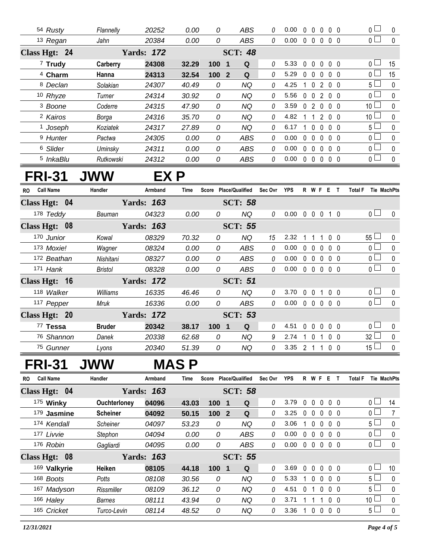| 54 Rusty             | Flannelly | 20252             | 0.00  | 0         | ABS            | 0 | 0.00 | $\Omega$<br>$\Omega$      | 0                        | 0 <sub>0</sub> | $\mathbf{0}$    | 0            |
|----------------------|-----------|-------------------|-------|-----------|----------------|---|------|---------------------------|--------------------------|----------------|-----------------|--------------|
| 13 Regan             | Jahn      | 20384             | 0.00  | 0         | ABS            | 0 | 0.00 | 0<br>$\overline{0}$       | $\mathbf{0}$             | $0\quad 0$     | 0 <sub>1</sub>  | $\mathbf{0}$ |
| Class Hgt: 24        |           | <b>Yards: 172</b> |       |           | <b>SCT: 48</b> |   |      |                           |                          |                |                 |              |
| $7$ Trudy            | Carberry  | 24308             | 32.29 | 100<br>-1 | Q              | 0 | 5.33 | $\Omega$<br>$\Omega$      | $\Omega$                 | $0\quad 0$     | 0 <sup>1</sup>  | 15           |
| <sup>4</sup> Charm   | Hanna     | 24313             | 32.54 | 1002      | Q              | 0 | 5.29 | $\Omega$<br>$\Omega$      | 0                        | $0\quad 0$     | 0               | 15           |
| <sup>8</sup> Declan  | Solakian  | 24307             | 40.49 | 0         | ΝQ             | 0 | 4.25 |                           | 2                        | $0\quad 0$     | 5 ∟             | $\Omega$     |
| 10 Rhyze             | Turner    | 24314             | 30.92 | 0         | ΝQ             | 0 | 5.56 | $\mathbf{0}$<br>$\Omega$  | 2                        | $0\quad 0$     | 0 <sub>l</sub>  | $\Omega$     |
| <sup>3</sup> Boone   | Coderre   | 24315             | 47.90 | 0         | ΝQ             | 0 | 3.59 | $\Omega$<br>$\mathcal{P}$ | $\Omega$                 | 0 <sub>0</sub> | 10 <sup>1</sup> | $\Omega$     |
| <sup>2</sup> Kairos  | Borga     | 24316             | 35.70 | 0         | ΝQ             | 0 | 4.82 |                           | $\mathcal{P}$            | 0 <sub>0</sub> | 10 <sup>1</sup> | $\Omega$     |
| <sup>1</sup> Joseph  | Koziatek  | 24317             | 27.89 | 0         | ΝQ             | 0 | 6.17 |                           | $\Omega$<br><sup>n</sup> | 0 <sub>0</sub> | 5 <sub>1</sub>  | $\Omega$     |
| <sup>9</sup> Hunter  | Pactwa    | 24305             | 0.00  | 0         | <b>ABS</b>     | 0 | 0.00 | $\Omega$<br>$\cup$        | $\Omega$                 | 0 0            | 0 <sub>l</sub>  | $\Omega$     |
| <sup>6</sup> Slider  | Uminsky   | 24311             | 0.00  | 0         | <b>ABS</b>     | 0 | 0.00 | $\Omega$<br>$\Omega$      | 0                        | 0 <sub>0</sub> | 0 <sup>L</sup>  | $\Omega$     |
| <sup>5</sup> InkaBlu | Rutkowski | 24312             | 0.00  | 0         | <b>ABS</b>     | 0 | 0.00 | $\Omega$<br>$\Omega$      | $\Omega$                 | $0\quad 0$     | 0               | $\Omega$     |

## **FRI-31 JWW EX P**

| <b>Call Name</b><br><b>RO</b> | Handler        | Armband           | Time  | Score            | <b>Place/Qualified</b> | Sec Ovr | <b>YPS</b> |              | R W F          |              | Е                 |                | Total F               | Tie MachPts  |
|-------------------------------|----------------|-------------------|-------|------------------|------------------------|---------|------------|--------------|----------------|--------------|-------------------|----------------|-----------------------|--------------|
| Class Hgt: 04                 |                | <b>Yards: 163</b> |       |                  | <b>SCT: 58</b>         |         |            |              |                |              |                   |                |                       |              |
| 178 Teddy                     | Bauman         | 04323             | 0.00  | 0                | NQ                     | 0       | 0.00       | $\mathbf{0}$ | $\mathbf{0}$   | $\mathbf{0}$ |                   | 10             | 0 <sub>l</sub>        | $\mathbf{0}$ |
| Class Hgt: 08                 |                | <b>Yards: 163</b> |       |                  | <b>SCT: 55</b>         |         |            |              |                |              |                   |                |                       |              |
| 170 Junior                    | Kowal          | 08329             | 70.32 | 0                | NQ.                    | 15      | 2.32       |              |                |              |                   | 0 <sub>0</sub> | $55 \Box$             | $\Omega$     |
| 173 Moxie!                    | Wagner         | 08324             | 0.00  | 0                | ABS                    | 0       | 0.00       | $\Omega$     | $\Omega$       | $\Omega$     |                   | 0 <sub>0</sub> | 0 <sub>l</sub>        | $\mathbf{0}$ |
| 172 Beathan                   | Nishitani      | 08327             | 0.00  | 0                | ABS                    | 0       | 0.00       | 0            | $\mathsf{O}$   | $\Box$       |                   | 0 <sub>0</sub> | 0 <sub>l</sub>        | $\Omega$     |
| 171 Hank                      | <b>Bristol</b> | 08328             | 0.00  | 0                | ABS                    | 0       | 0.00       | $\mathbf{0}$ | $\mathbf{0}$   | 0            | 0 <sub>0</sub>    |                | 0 <sub>1</sub>        | $\Omega$     |
| Class Hgt: 16                 |                | <b>Yards: 172</b> |       |                  | <b>SCT: 51</b>         |         |            |              |                |              |                   |                |                       |              |
| 118 Walker                    | Williams       | 16335             | 46.46 | 0                | NQ                     | 0       | 3.70       | $\Omega$     | $\Omega$       |              |                   | 0 <sub>0</sub> | $\overline{0}$ $\Box$ | $\Omega$     |
| 117 Pepper                    | Mruk           | 16336             | 0.00  | 0                | ABS                    | 0       | 0.00       | $\Omega$     | $\overline{0}$ |              | $0\quad 0\quad 0$ |                | 0 <sub>0</sub>        | $\Omega$     |
| Class Hgt: 20                 |                | <b>Yards: 172</b> |       |                  | <b>SCT: 53</b>         |         |            |              |                |              |                   |                |                       |              |
| 77 Tessa                      | <b>Bruder</b>  | 20342             | 38.17 | 100 <sub>1</sub> | Q<br>- 1               | 0       | 4.51       | $\Omega$     | $\Omega$       | $\Omega$     |                   | 0 <sub>0</sub> | $\overline{0}$ $\Box$ | $\Omega$     |
| 76 Shannon                    | Danek          | 20338             | 62.68 | 0                | NQ                     | 9       | 2.74       |              | $\Omega$       |              |                   | 0 <sub>0</sub> | 32 <sup>1</sup>       | $\Omega$     |
| 75 Gunner                     | Lyons          | 20340             | 51.39 | 0                | <b>NQ</b>              | 0       | 3.35       | 2            |                |              |                   | 0 <sub>0</sub> | 15 $\Box$             | $\Omega$     |

## **FRI-31 JWW MAS P**

| <b>Call Name</b><br>RO. | Handler             | Armband           | Time  | Score Place/Qualified |                         |                | Sec Ovr | <b>YPS</b> |              |                         | R W F        | E |                   | Total F |                       | <b>Tie MachPts</b> |
|-------------------------|---------------------|-------------------|-------|-----------------------|-------------------------|----------------|---------|------------|--------------|-------------------------|--------------|---|-------------------|---------|-----------------------|--------------------|
| Class Hgt: 04           | <b>Yards:</b>       | 163               |       |                       |                         | <b>SCT: 58</b> |         |            |              |                         |              |   |                   |         |                       |                    |
| 175 Winky               | <b>Ouchterloney</b> | 04096             | 43.03 | 100                   | - 1                     | Q              | 0       | 3.79       | 0            | <sup>n</sup>            | $\mathsf{O}$ |   | 0 0               |         | $\cap \Box$           | 14                 |
| 179 Jasmine             | <b>Scheiner</b>     | 04092             | 50.15 | 100                   | $\overline{\mathbf{2}}$ | Q              | 0       | 3.25       | 0            | $\Omega$                | $\Omega$     |   | 0 <sub>0</sub>    |         | $\overline{0}$ $\Box$ | 7                  |
| 174 Kendall             | Scheiner            | 04097             | 53.23 | 0                     |                         | NQ             | 0       | 3.06       |              | $\Omega$                | $\Omega$     |   | $0\quad 0$        |         | $5\sqcup$             | $\Omega$           |
| 177 Livvie              | Stephon             | 04094             | 0.00  | 0                     |                         | ABS            | 0       | 0.00       | 0            | $\Omega$                | $\Omega$     |   | $0\quad 0$        |         | $\overline{0}$ $\Box$ | $\Omega$           |
| 176 Robin               | Gagliardi           | 04095             | 0.00  | 0                     |                         | <b>ABS</b>     | 0       | 0.00       | $\mathbf{0}$ | $\overline{\mathbf{0}}$ |              |   | $0\quad 0\quad 0$ |         | $\overline{0}$ $\Box$ | $\Omega$           |
| Class Hgt: 08           |                     | <b>Yards: 163</b> |       |                       |                         | <b>SCT: 55</b> |         |            |              |                         |              |   |                   |         |                       |                    |
| 169 Valkyrie            | Heiken              | 08105             | 44.18 | 1001                  |                         | Q              | 0       | 3.69       | 0            | $\Omega$                | $\mathsf{O}$ |   | $0\quad 0$        |         | $\overline{0}$ $\Box$ | 10                 |
| 168 Boots               | <b>Potts</b>        | 08108             | 30.56 | 0                     |                         | NQ             | 0       | 5.33       |              | $\overline{0}$          | $\Omega$     |   | 0 0               |         | 5 <sub>1</sub>        | $\Omega$           |
| 167 Madyson             | Rissmiller          | 08109             | 36.12 | 0                     |                         | NQ             | 0       | 4.51       | 0            |                         | $\mathsf{O}$ |   | 0 0               |         | 5 <sub>1</sub>        | $\Omega$           |
| 166 Haley               | Barnes              | 08111             | 43.94 | 0                     |                         | <b>NQ</b>      | 0       | 3.71       |              |                         |              |   | 0 <sub>0</sub>    |         | 10 <sup>1</sup>       | $\Omega$           |
| 165 Cricket             | Turco-Levin         | 08114             | 48.52 | 0                     |                         | <b>NQ</b>      | 0       | 3.36       |              | 0                       | 0            |   | 0 <sub>0</sub>    |         | 5 <sub>1</sub>        | $\Omega$           |